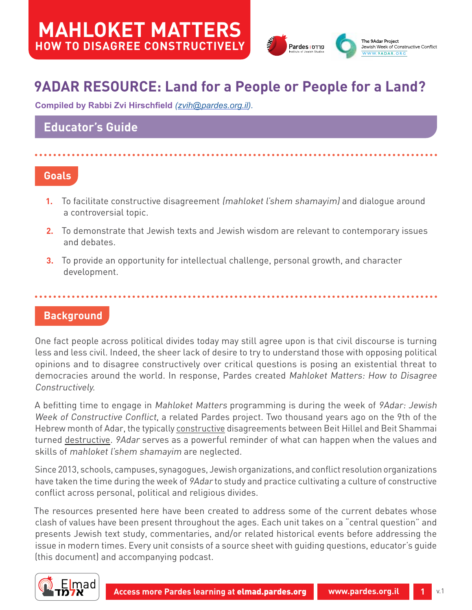

# **9ADAR RESOURCE: Land for a People or People for a Land?**

**Compiled by Rabbi Zvi Hirschfield** *(zvi[h@pardes.org.il\)](mailto:zvih%40pardes.org.il?subject=).*

## **Educator's Guide**

### **Goals**

- **1.** To facilitate constructive disagreement (mahloket l'shem shamayim) and dialogue around a controversial topic.
- **2.** To demonstrate that Jewish texts and Jewish wisdom are relevant to contemporary issues and debates.
- **3.** To provide an opportunity for intellectual challenge, personal growth, and character development.

### **Background**

One fact people across political divides today may still agree upon is that civil discourse is turning less and less civil. Indeed, the sheer lack of desire to try to understand those with opposing political opinions and to disagree constructively over critical questions is posing an existential threat to democracies around the world. In response, Pardes created Mahloket Matters: How to Disagree Constructively.

A befitting time to engage in Mahloket Matters programming is during the week of 9Adar: Jewish Week of Constructive Conflict, a related Pardes project. Two thousand years ago on the 9th of the Hebrew month of Adar, the typically constructive disagreements between Beit Hillel and Beit Shammai turned destructive. 9Adar serves as a powerful reminder of what can happen when the values and skills of mahloket l'shem shamayim are neglected.

Since 2013, schools, campuses, synagogues, Jewish organizations, and conflict resolution organizations have taken the time during the week of 9Adar to study and practice cultivating a culture of constructive conflict across personal, political and religious divides.

The resources presented here have been created to address some of the current debates whose clash of values have been present throughout the ages. Each unit takes on a "central question" and presents Jewish text study, commentaries, and/or related historical events before addressing the issue in modern times. Every unit consists of a source sheet with guiding questions, educator's guide (this document) and accompanying podcast.

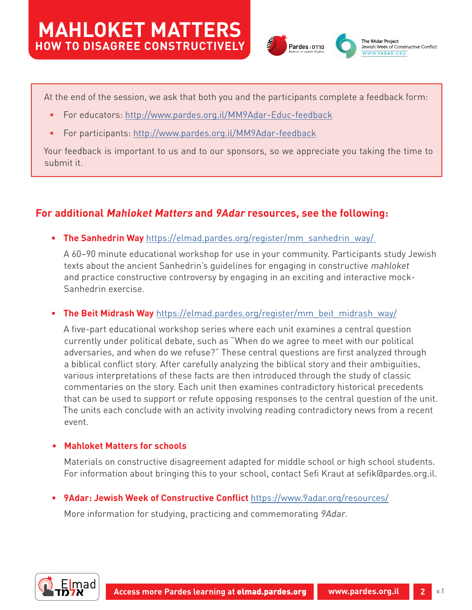



At the end of the session, we ask that both you and the participants complete a feedback form:

- **•** For educators: http://www.pardes.org.il/MM9Adar-Educ-feedback
- **•** For participants: <http://www.pardes.org.il/MM9Adar-feedback>

Your feedback is important to us and to our sponsors, so we appreciate you taking the time to submit it.

## **For additional Mahloket Matters and 9Adar resources, see the following:**

#### **• [The Sanhedrin Way](https://elmad.pardes.org/register/mm_sanhedrin_way/)** [https://elmad.pardes.org/register/mm\\_sanhedrin\\_way/](https://elmad.pardes.org/register/mm_sanhedrin_way/)

A 60–90 minute educational workshop for use in your community. Participants study Jewish texts about the ancient Sanhedrin's guidelines for engaging in constructive mahloket and practice constructive controversy by engaging in an exciting and interactive mock-Sanhedrin exercise.

#### **• The Beit Midrash Way** https://elmad.pardes.org/register/mm\_beit\_midrash\_way/

A five-part educational workshop series where each unit examines a central question currently under political debate, such as "When do we agree to meet with our political adversaries, and when do we refuse?" These central questions are first analyzed through a biblical conflict story. After carefully analyzing the biblical story and their ambiguities, various interpretations of these facts are then introduced through the study of classic commentaries on the story. Each unit then examines contradictory historical precedents that can be used to support or refute opposing responses to the central question of the unit. The units each conclude with an activity involving reading contradictory news from a recent event.

#### **• Mahloket Matters for schools**

Materials on constructive disagreement adapted for middle school or high school students. For information about bringing this to your school, contact Sefi Kraut at sefik@pardes.org.il.

**• 9Adar: Jewish Week of Constructive Conflict** <https://www.9adar.org/resources/>

More information for studying, practicing and commemorating 9Adar.

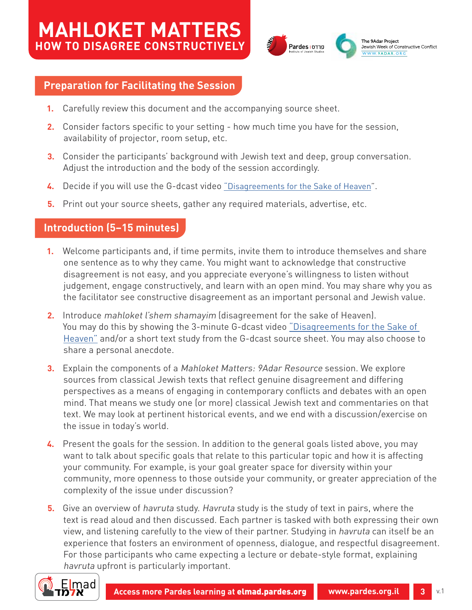

### **Preparation for Facilitating the Session**

- **1.** Carefully review this document and the accompanying source sheet.
- **2.** Consider factors specific to your setting how much time you have for the session, availability of projector, room setup, etc.
- **3.** Consider the participants' background with Jewish text and deep, group conversation. Adjust the introduction and the body of the session accordingly.
- **4.** Decide if you will use the G-dcast video ["Disagreements for the Sake of Heaven"](http://elmad.pardes.org/g-dcast).
- **5.** Print out your source sheets, gather any required materials, advertise, etc.

### **Introduction (5–15 minutes)**

- **1.** Welcome participants and, if time permits, invite them to introduce themselves and share one sentence as to why they came. You might want to acknowledge that constructive disagreement is not easy, and you appreciate everyone's willingness to listen without judgement, engage constructively, and learn with an open mind. You may share why you as the facilitator see constructive disagreement as an important personal and Jewish value.
- **2.** Introduce mahloket l'shem shamayim (disagreement for the sake of Heaven). You may do this by showing the 3-minute G-dcast video ["Disagreements for the Sake of](http://elmad.pardes.org/2015/08/disagreements-for-the-sake-of-heaven/)  [Heaven"](http://elmad.pardes.org/2015/08/disagreements-for-the-sake-of-heaven/) and/or a short text study from the G-dcast source sheet. You may also choose to share a personal anecdote.
- **3.** Explain the components of a Mahloket Matters: 9Adar Resource session. We explore sources from classical Jewish texts that reflect genuine disagreement and differing perspectives as a means of engaging in contemporary conflicts and debates with an open mind. That means we study one (or more) classical Jewish text and commentaries on that text. We may look at pertinent historical events, and we end with a discussion/exercise on the issue in today's world.
- **4.** Present the goals for the session. In addition to the general goals listed above, you may want to talk about specific goals that relate to this particular topic and how it is affecting your community. For example, is your goal greater space for diversity within your community, more openness to those outside your community, or greater appreciation of the complexity of the issue under discussion?
- **5.** Give an overview of havruta study. Havruta study is the study of text in pairs, where the text is read aloud and then discussed. Each partner is tasked with both expressing their own view, and listening carefully to the view of their partner. Studying in havruta can itself be an experience that fosters an environment of openness, dialogue, and respectful disagreement. For those participants who came expecting a lecture or debate-style format, explaining havruta upfront is particularly important.

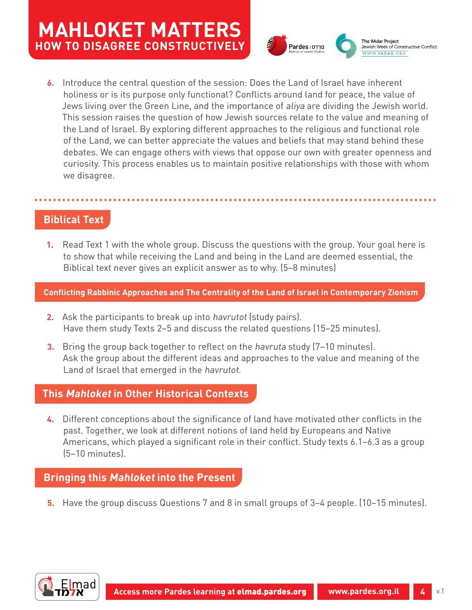



**6.** Introduce the central question of the session: Does the Land of Israel have inherent holiness or is its purpose only functional? Conflicts around land for peace, the value of Jews living over the Green Line, and the importance of aliya are dividing the Jewish world. This session raises the question of how Jewish sources relate to the value and meaning of the Land of Israel. By exploring different approaches to the religious and functional role of the Land, we can better appreciate the values and beliefs that may stand behind these debates. We can engage others with views that oppose our own with greater openness and curiosity. This process enables us to maintain positive relationships with those with whom we disagree.

## **Biblical Text**

**1.** Read Text 1 with the whole group. Discuss the questions with the group. Your goal here is to show that while receiving the Land and being in the Land are deemed essential, the Biblical text never gives an explicit answer as to why. (5–8 minutes)

**Conflicting Rabbinic Approaches and The Centrality of the Land of Israel in Contemporary Zionism**

- **2.** Ask the participants to break up into havrutot (study pairs). Have them study Texts 2–5 and discuss the related questions (15–25 minutes).
- **3.** Bring the group back together to reflect on the havruta study (7–10 minutes). Ask the group about the different ideas and approaches to the value and meaning of the Land of Israel that emerged in the havrutot.

## **This Mahloket in Other Historical Contexts**

**4.** Different conceptions about the significance of land have motivated other conflicts in the past. Together, we look at different notions of land held by Europeans and Native Americans, which played a significant role in their conflict. Study texts 6.1–6.3 as a group (5–10 minutes).

## **Bringing this Mahloket into the Present**

**5.** Have the group discuss Questions 7 and 8 in small groups of 3–4 people. (10–15 minutes).